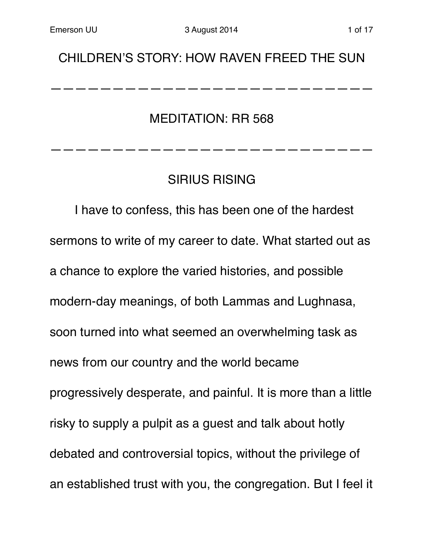## CHILDREN'S STORY: HOW RAVEN FREED THE SUN

——————————————————————————

MEDITATION: RR 568

## SIRIUS RISING

——————————————————————————

I have to confess, this has been one of the hardest sermons to write of my career to date. What started out as a chance to explore the varied histories, and possible modern-day meanings, of both Lammas and Lughnasa, soon turned into what seemed an overwhelming task as news from our country and the world became progressively desperate, and painful. It is more than a little risky to supply a pulpit as a guest and talk about hotly debated and controversial topics, without the privilege of an established trust with you, the congregation. But I feel it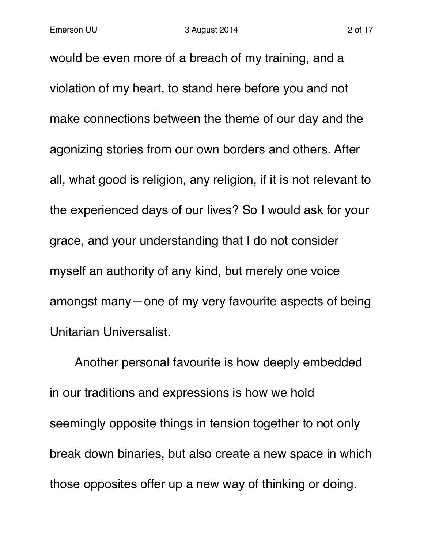would be even more of a breach of my training, and a violation of my heart, to stand here before you and not make connections between the theme of our day and the agonizing stories from our own borders and others. After all, what good is religion, any religion, if it is not relevant to the experienced days of our lives? So I would ask for your grace, and your understanding that I do not consider myself an authority of any kind, but merely one voice amongst many—one of my very favourite aspects of being Unitarian Universalist.

Another personal favourite is how deeply embedded in our traditions and expressions is how we hold seemingly opposite things in tension together to not only break down binaries, but also create a new space in which those opposites offer up a new way of thinking or doing.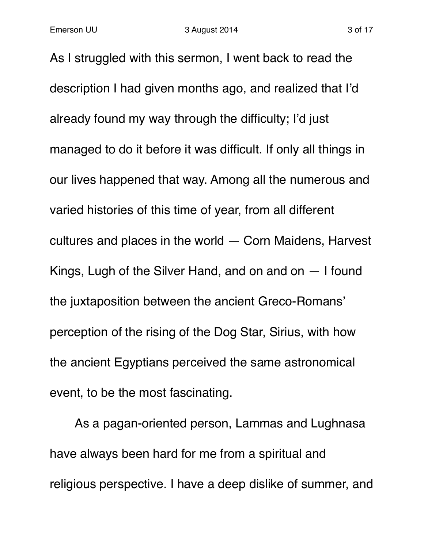As I struggled with this sermon, I went back to read the description I had given months ago, and realized that I'd already found my way through the difficulty; I'd just managed to do it before it was difficult. If only all things in our lives happened that way. Among all the numerous and varied histories of this time of year, from all different cultures and places in the world — Corn Maidens, Harvest Kings, Lugh of the Silver Hand, and on and on — I found the juxtaposition between the ancient Greco-Romans' perception of the rising of the Dog Star, Sirius, with how the ancient Egyptians perceived the same astronomical event, to be the most fascinating.

As a pagan-oriented person, Lammas and Lughnasa have always been hard for me from a spiritual and religious perspective. I have a deep dislike of summer, and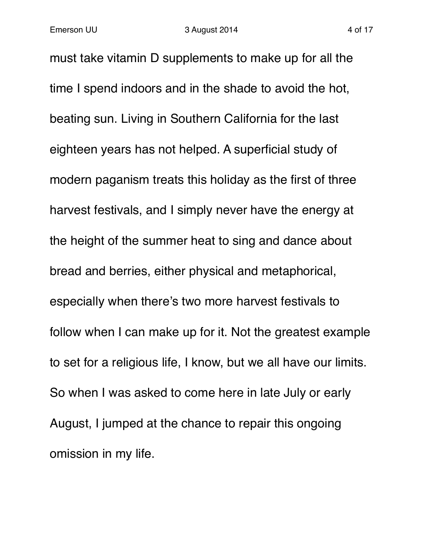must take vitamin D supplements to make up for all the time I spend indoors and in the shade to avoid the hot, beating sun. Living in Southern California for the last eighteen years has not helped. A superficial study of modern paganism treats this holiday as the first of three harvest festivals, and I simply never have the energy at the height of the summer heat to sing and dance about bread and berries, either physical and metaphorical, especially when there's two more harvest festivals to follow when I can make up for it. Not the greatest example to set for a religious life, I know, but we all have our limits. So when I was asked to come here in late July or early August, I jumped at the chance to repair this ongoing omission in my life.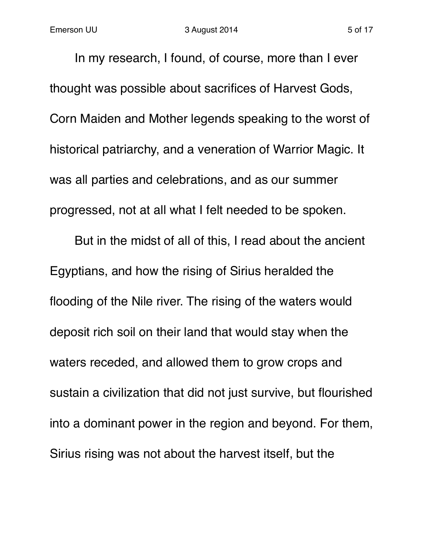In my research, I found, of course, more than I ever thought was possible about sacrifices of Harvest Gods, Corn Maiden and Mother legends speaking to the worst of historical patriarchy, and a veneration of Warrior Magic. It was all parties and celebrations, and as our summer progressed, not at all what I felt needed to be spoken.

But in the midst of all of this, I read about the ancient Egyptians, and how the rising of Sirius heralded the flooding of the Nile river. The rising of the waters would deposit rich soil on their land that would stay when the waters receded, and allowed them to grow crops and sustain a civilization that did not just survive, but flourished into a dominant power in the region and beyond. For them, Sirius rising was not about the harvest itself, but the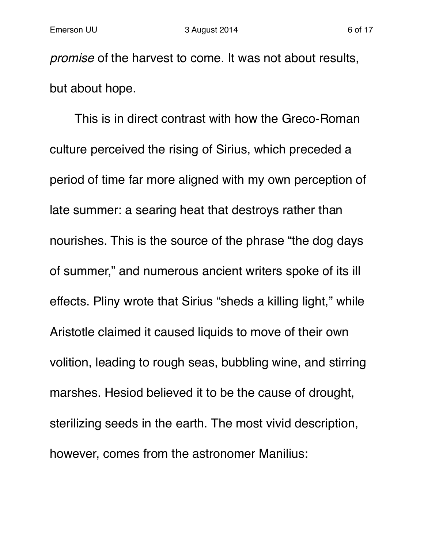*promise* of the harvest to come. It was not about results, but about hope.

This is in direct contrast with how the Greco-Roman culture perceived the rising of Sirius, which preceded a period of time far more aligned with my own perception of late summer: a searing heat that destroys rather than nourishes. This is the source of the phrase "the dog days of summer," and numerous ancient writers spoke of its ill effects. Pliny wrote that Sirius "sheds a killing light," while Aristotle claimed it caused liquids to move of their own volition, leading to rough seas, bubbling wine, and stirring marshes. Hesiod believed it to be the cause of drought, sterilizing seeds in the earth. The most vivid description, however, comes from the astronomer Manilius: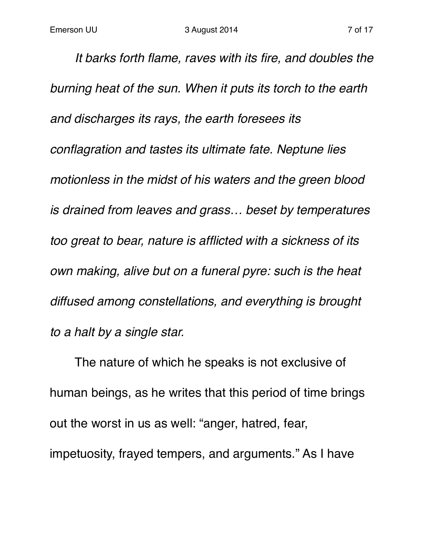*It barks forth flame, raves with its fire, and doubles the burning heat of the sun. When it puts its torch to the earth and discharges its rays, the earth foresees its conflagration and tastes its ultimate fate. Neptune lies motionless in the midst of his waters and the green blood is drained from leaves and grass… beset by temperatures too great to bear, nature is afflicted with a sickness of its own making, alive but on a funeral pyre: such is the heat diffused among constellations, and everything is brought to a halt by a single star.*

The nature of which he speaks is not exclusive of human beings, as he writes that this period of time brings out the worst in us as well: "anger, hatred, fear, impetuosity, frayed tempers, and arguments." As I have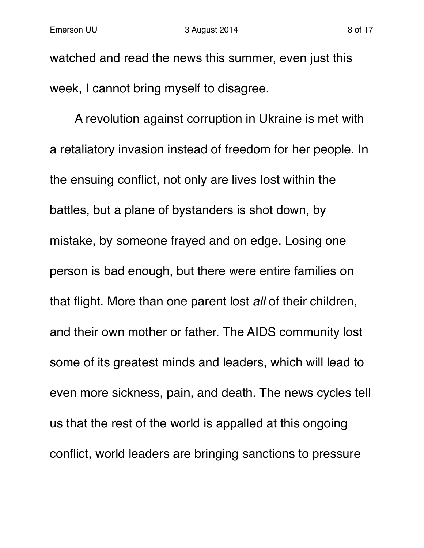watched and read the news this summer, even just this week, I cannot bring myself to disagree.

A revolution against corruption in Ukraine is met with a retaliatory invasion instead of freedom for her people. In the ensuing conflict, not only are lives lost within the battles, but a plane of bystanders is shot down, by mistake, by someone frayed and on edge. Losing one person is bad enough, but there were entire families on that flight. More than one parent lost *all* of their children, and their own mother or father. The AIDS community lost some of its greatest minds and leaders, which will lead to even more sickness, pain, and death. The news cycles tell us that the rest of the world is appalled at this ongoing conflict, world leaders are bringing sanctions to pressure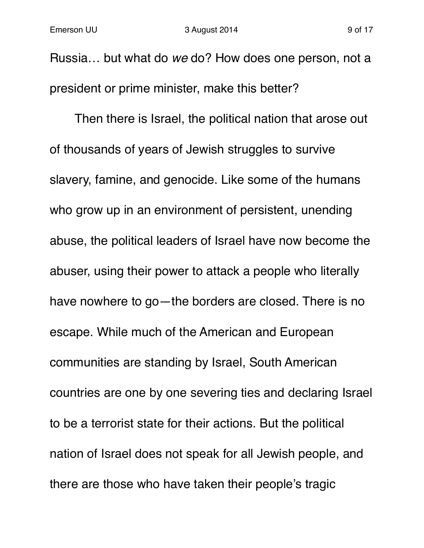Russia… but what do *we* do? How does one person, not a president or prime minister, make this better?

Then there is Israel, the political nation that arose out of thousands of years of Jewish struggles to survive slavery, famine, and genocide. Like some of the humans who grow up in an environment of persistent, unending abuse, the political leaders of Israel have now become the abuser, using their power to attack a people who literally have nowhere to go—the borders are closed. There is no escape. While much of the American and European communities are standing by Israel, South American countries are one by one severing ties and declaring Israel to be a terrorist state for their actions. But the political nation of Israel does not speak for all Jewish people, and there are those who have taken their people's tragic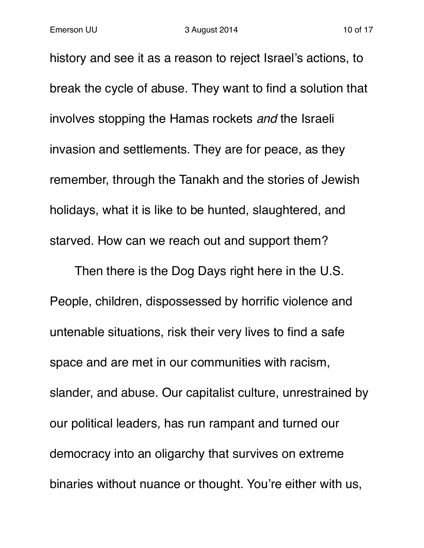history and see it as a reason to reject Israel's actions, to break the cycle of abuse. They want to find a solution that involves stopping the Hamas rockets *and* the Israeli invasion and settlements. They are for peace, as they remember, through the Tanakh and the stories of Jewish holidays, what it is like to be hunted, slaughtered, and starved. How can we reach out and support them?

Then there is the Dog Days right here in the U.S. People, children, dispossessed by horrific violence and untenable situations, risk their very lives to find a safe space and are met in our communities with racism, slander, and abuse. Our capitalist culture, unrestrained by our political leaders, has run rampant and turned our democracy into an oligarchy that survives on extreme binaries without nuance or thought. You're either with us,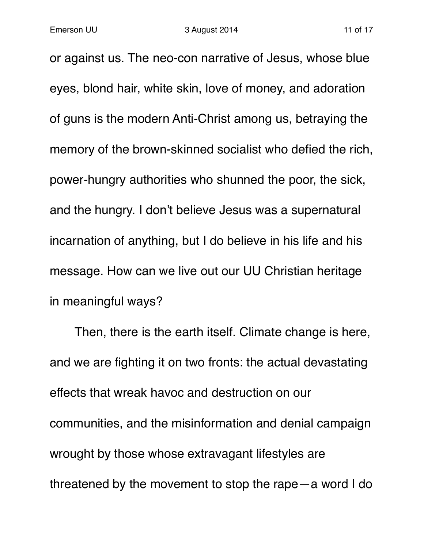or against us. The neo-con narrative of Jesus, whose blue eyes, blond hair, white skin, love of money, and adoration of guns is the modern Anti-Christ among us, betraying the memory of the brown-skinned socialist who defied the rich, power-hungry authorities who shunned the poor, the sick, and the hungry. I don't believe Jesus was a supernatural incarnation of anything, but I do believe in his life and his message. How can we live out our UU Christian heritage in meaningful ways?

Then, there is the earth itself. Climate change is here, and we are fighting it on two fronts: the actual devastating effects that wreak havoc and destruction on our communities, and the misinformation and denial campaign wrought by those whose extravagant lifestyles are threatened by the movement to stop the rape—a word I do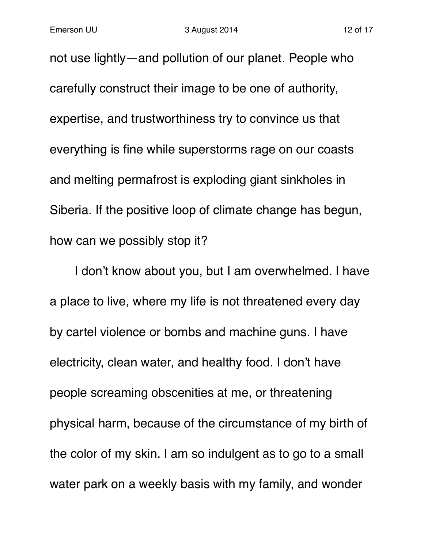not use lightly—and pollution of our planet. People who carefully construct their image to be one of authority, expertise, and trustworthiness try to convince us that everything is fine while superstorms rage on our coasts and melting permafrost is exploding giant sinkholes in Siberia. If the positive loop of climate change has begun, how can we possibly stop it?

I don't know about you, but I am overwhelmed. I have a place to live, where my life is not threatened every day by cartel violence or bombs and machine guns. I have electricity, clean water, and healthy food. I don't have people screaming obscenities at me, or threatening physical harm, because of the circumstance of my birth of the color of my skin. I am so indulgent as to go to a small water park on a weekly basis with my family, and wonder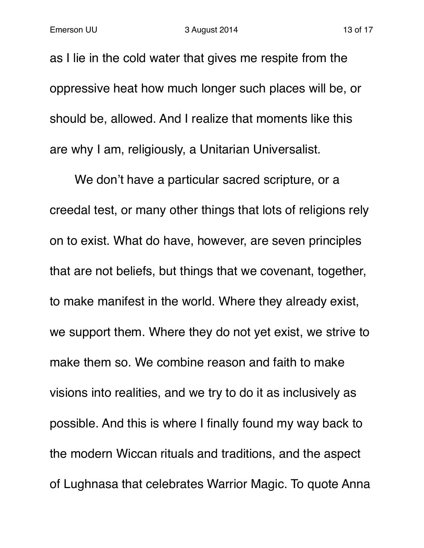as I lie in the cold water that gives me respite from the oppressive heat how much longer such places will be, or should be, allowed. And I realize that moments like this are why I am, religiously, a Unitarian Universalist.

We don't have a particular sacred scripture, or a creedal test, or many other things that lots of religions rely on to exist. What do have, however, are seven principles that are not beliefs, but things that we covenant, together, to make manifest in the world. Where they already exist, we support them. Where they do not yet exist, we strive to make them so. We combine reason and faith to make visions into realities, and we try to do it as inclusively as possible. And this is where I finally found my way back to the modern Wiccan rituals and traditions, and the aspect of Lughnasa that celebrates Warrior Magic. To quote Anna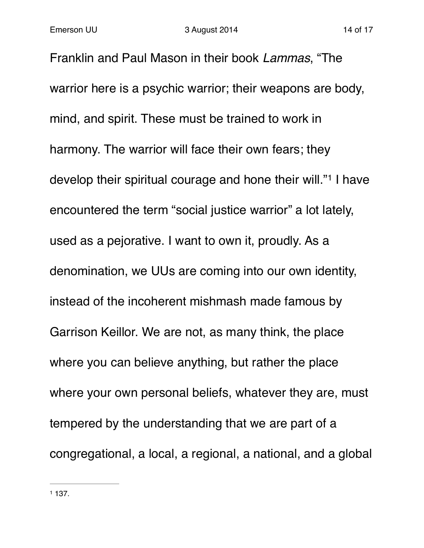Franklin and Paul Mason in their book *Lammas*, "The warrior here is a psychic warrior; their weapons are body, mind, and spirit. These must be trained to work in harmony. The warrior will face their own fears; they develop their spiritual courage and hone their will."<sup>1</sup> I have encountered the term "social justice warrior" a lot lately, used as a pejorative. I want to own it, proudly. As a denomination, we UUs are coming into our own identity, instead of the incoherent mishmash made famous by Garrison Keillor. We are not, as many think, the place where you can believe anything, but rather the place where your own personal beliefs, whatever they are, must tempered by the understanding that we are part of a congregational, a local, a regional, a national, and a global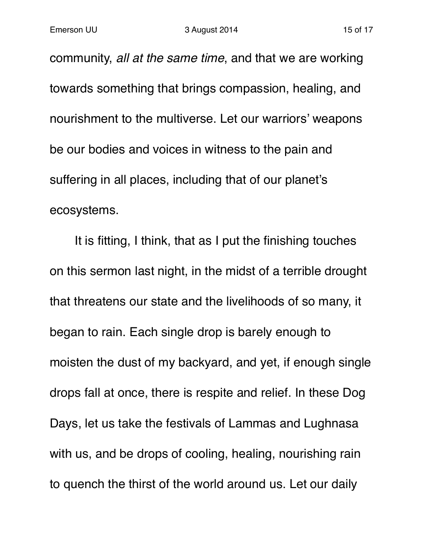community, *all at the same time*, and that we are working towards something that brings compassion, healing, and nourishment to the multiverse. Let our warriors' weapons be our bodies and voices in witness to the pain and suffering in all places, including that of our planet's ecosystems.

It is fitting, I think, that as I put the finishing touches on this sermon last night, in the midst of a terrible drought that threatens our state and the livelihoods of so many, it began to rain. Each single drop is barely enough to moisten the dust of my backyard, and yet, if enough single drops fall at once, there is respite and relief. In these Dog Days, let us take the festivals of Lammas and Lughnasa with us, and be drops of cooling, healing, nourishing rain to quench the thirst of the world around us. Let our daily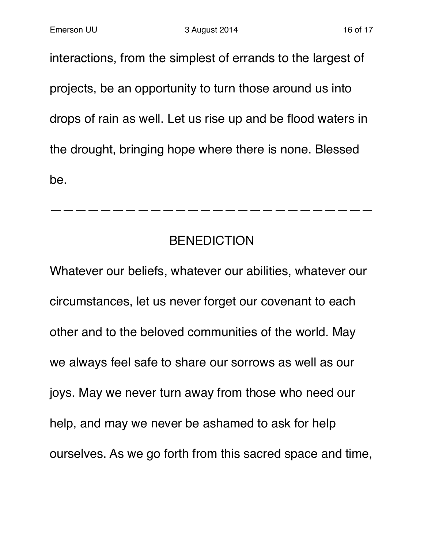interactions, from the simplest of errands to the largest of projects, be an opportunity to turn those around us into drops of rain as well. Let us rise up and be flood waters in the drought, bringing hope where there is none. Blessed be.

## BENEDICTION

——————————————————————————

Whatever our beliefs, whatever our abilities, whatever our circumstances, let us never forget our covenant to each other and to the beloved communities of the world. May we always feel safe to share our sorrows as well as our joys. May we never turn away from those who need our help, and may we never be ashamed to ask for help ourselves. As we go forth from this sacred space and time,